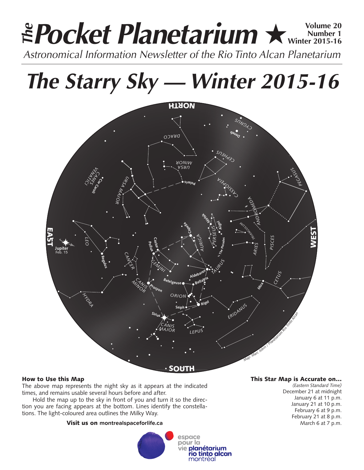# **Pocket Planetarium ★ Winter 2015-16 Number 1 Winter 2015-16 Astronomical Information Newsletter of the Rio Tinto Alcan Planetarium**<br>Astronomical Information Newsletter of the Rio Tinto Alcan Planetarium

*The Starry Sky — Winter 2015-16*



# How to Use this Map

The above map represents the night sky as it appears at the indicated times, and remains usable several hours before and after.

Hold the map up to the sky in front of you and turn it so the direction you are facing appears at the bottom. Lines identify the constellations. The light-coloured area outlines the Milky Way.

# Visit us on **montrealspaceforlife.ca**



# This Star Map is Accurate on…

*(Eastern Standard Time)* December 21 at midnight January 6 at 11 p.m. January 21 at 10 p.m. February 6 at 9 p.m. February 21 at 8 p.m. March 6 at 7 p.m.